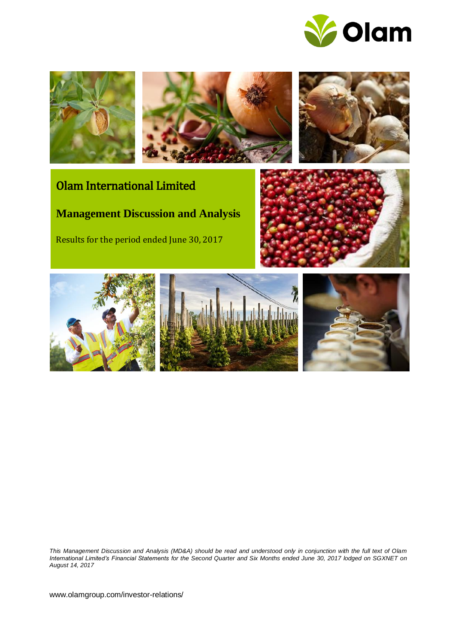







# Olam International Limited

**Management Discussion and Analysis**

Results for the period ended June 30, 2017





*This Management Discussion and Analysis (MD&A) should be read and understood only in conjunction with the full text of Olam International Limited's Financial Statements for the Second Quarter and Six Months ended June 30, 2017 lodged on SGXNET on August 14, 2017*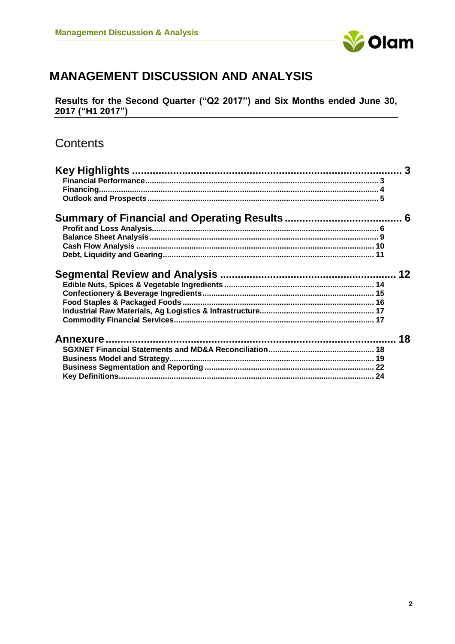

# **MANAGEMENT DISCUSSION AND ANALYSIS**

Results for the Second Quarter ("Q2 2017") and Six Months ended June 30, 2017 ("H1 2017")

# Contents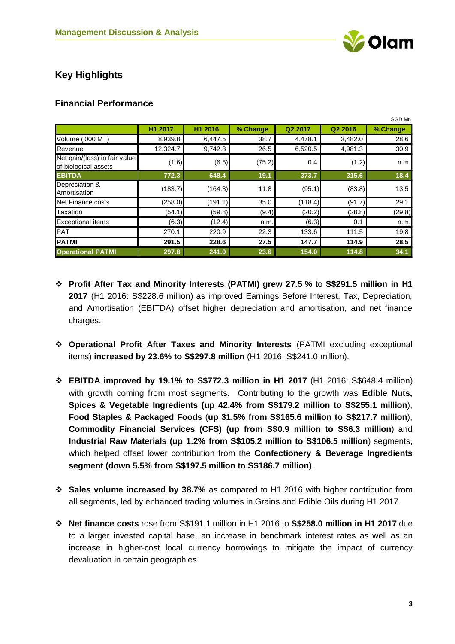

# <span id="page-2-0"></span>**Key Highlights**

## <span id="page-2-1"></span>**Financial Performance**

|                                                       |          |         |          |         |         | SGD Mn   |
|-------------------------------------------------------|----------|---------|----------|---------|---------|----------|
|                                                       | H1 2017  | H1 2016 | % Change | Q2 2017 | Q2 2016 | % Change |
| Volume ('000 MT)                                      | 8,939.8  | 6,447.5 | 38.7     | 4,478.1 | 3,482.0 | 28.6     |
| Revenue                                               | 12,324.7 | 9,742.8 | 26.5     | 6,520.5 | 4,981.3 | 30.9     |
| Net gain/(loss) in fair value<br>of biological assets | (1.6)    | (6.5)   | (75.2)   | 0.4     | (1.2)   | n.m.     |
| <b>EBITDA</b>                                         | 772.3    | 648.4   | 19.1     | 373.7   | 315.6   | 18.4     |
| Depreciation &<br>Amortisation                        | (183.7)  | (164.3) | 11.8     | (95.1)  | (83.8)  | 13.5     |
| Net Finance costs                                     | (258.0)  | (191.1) | 35.0     | (118.4) | (91.7)  | 29.1     |
| Taxation                                              | (54.1)   | (59.8)  | (9.4)    | (20.2)  | (28.8)  | (29.8)   |
| <b>Exceptional items</b>                              | (6.3)    | (12.4)  | n.m.     | (6.3)   | 0.1     | n.m.     |
| <b>PAT</b>                                            | 270.1    | 220.9   | 22.3     | 133.6   | 111.5   | 19.8     |
| <b>PATMI</b>                                          | 291.5    | 228.6   | 27.5     | 147.7   | 114.9   | 28.5     |
| <b>Operational PATMI</b>                              | 297.8    | 241.0   | 23.6     | 154.0   | 114.8   | 34.1     |

- ❖ **Profit After Tax and Minority Interests (PATMI) grew 27.5 %** to **S\$291.5 million in H1 2017** (H1 2016: S\$228.6 million) as improved Earnings Before Interest, Tax, Depreciation, and Amortisation (EBITDA) offset higher depreciation and amortisation, and net finance charges.
- ❖ **Operational Profit After Taxes and Minority Interests** (PATMI excluding exceptional items) **increased by 23.6% to S\$297.8 million** (H1 2016: S\$241.0 million).
- ❖ **EBITDA improved by 19.1% to S\$772.3 million in H1 2017** (H1 2016: S\$648.4 million) with growth coming from most segments. Contributing to the growth was **Edible Nuts, Spices & Vegetable Ingredients (up 42.4% from S\$179.2 million to S\$255.1 million**), **Food Staples & Packaged Foods** (**up 31.5% from S\$165.6 million to S\$217.7 million**), **Commodity Financial Services (CFS) (up from S\$0.9 million to S\$6.3 million**) and **Industrial Raw Materials (up 1.2% from S\$105.2 million to S\$106.5 million**) segments, which helped offset lower contribution from the **Confectionery & Beverage Ingredients segment (down 5.5% from S\$197.5 million to S\$186.7 million)**.
- ❖ **Sales volume increased by 38.7%** as compared to H1 2016 with higher contribution from all segments, led by enhanced trading volumes in Grains and Edible Oils during H1 2017.
- ❖ **Net finance costs** rose from S\$191.1 million in H1 2016 to **S\$258.0 million in H1 2017** due to a larger invested capital base, an increase in benchmark interest rates as well as an increase in higher-cost local currency borrowings to mitigate the impact of currency devaluation in certain geographies.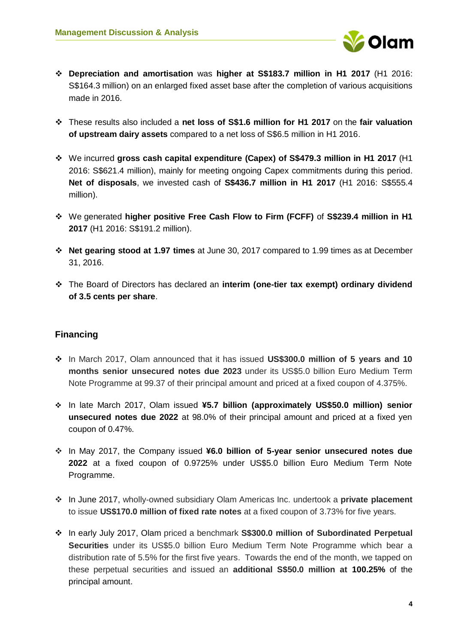

- ❖ **Depreciation and amortisation** was **higher at S\$183.7 million in H1 2017** (H1 2016: S\$164.3 million) on an enlarged fixed asset base after the completion of various acquisitions made in 2016.
- ❖ These results also included a **net loss of S\$1.6 million for H1 2017** on the **fair valuation of upstream dairy assets** compared to a net loss of S\$6.5 million in H1 2016.
- ❖ We incurred **gross cash capital expenditure (Capex) of S\$479.3 million in H1 2017** (H1 2016: S\$621.4 million), mainly for meeting ongoing Capex commitments during this period. **Net of disposals**, we invested cash of **S\$436.7 million in H1 2017** (H1 2016: S\$555.4 million).
- ❖ We generated **higher positive Free Cash Flow to Firm (FCFF)** of **S\$239.4 million in H1 2017** (H1 2016: S\$191.2 million).
- ❖ **Net gearing stood at 1.97 times** at June 30, 2017 compared to 1.99 times as at December 31, 2016.
- ❖ The Board of Directors has declared an **interim (one-tier tax exempt) ordinary dividend of 3.5 cents per share**.

# <span id="page-3-0"></span>**Financing**

- ❖ In March 2017, Olam announced that it has issued **US\$300.0 million of 5 years and 10 months senior unsecured notes due 2023** under its US\$5.0 billion Euro Medium Term Note Programme at 99.37 of their principal amount and priced at a fixed coupon of 4.375%.
- ❖ In late March 2017, Olam issued **¥5.7 billion (approximately US\$50.0 million) senior unsecured notes due 2022** at 98.0% of their principal amount and priced at a fixed yen coupon of 0.47%.
- ❖ In May 2017, the Company issued **¥6.0 billion of 5-year senior unsecured notes due 2022** at a fixed coupon of 0.9725% under US\$5.0 billion Euro Medium Term Note Programme.
- ❖ In June 2017, wholly-owned subsidiary Olam Americas Inc. undertook a **private placement** to issue **US\$170.0 million of fixed rate notes** at a fixed coupon of 3.73% for five years.
- ❖ In early July 2017, Olam priced a benchmark **S\$300.0 million of Subordinated Perpetual Securities** under its US\$5.0 billion Euro Medium Term Note Programme which bear a distribution rate of 5.5% for the first five years. Towards the end of the month, we tapped on these perpetual securities and issued an **additional S\$50.0 million at 100.25%** of the principal amount.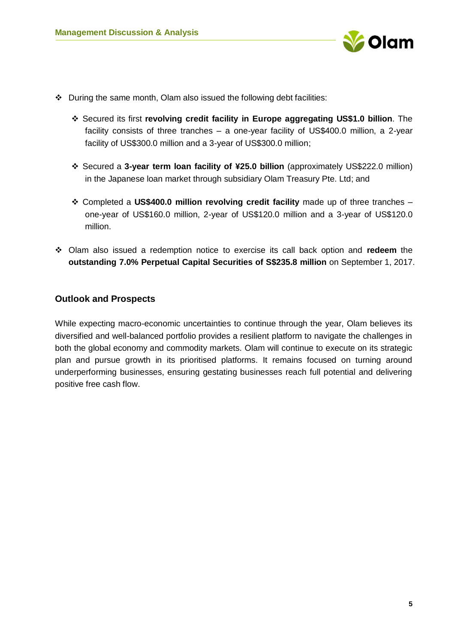

- ❖ During the same month, Olam also issued the following debt facilities:
	- ❖ Secured its first **revolving credit facility in Europe aggregating US\$1.0 billion**. The facility consists of three tranches – a one-year facility of US\$400.0 million, a 2-year facility of US\$300.0 million and a 3-year of US\$300.0 million;
	- ❖ Secured a **3-year term loan facility of ¥25.0 billion** (approximately US\$222.0 million) in the Japanese loan market through subsidiary Olam Treasury Pte. Ltd; and
	- ❖ Completed a **US\$400.0 million revolving credit facility** made up of three tranches one-year of US\$160.0 million, 2-year of US\$120.0 million and a 3-year of US\$120.0 million.
- ❖ Olam also issued a redemption notice to exercise its call back option and **redeem** the **outstanding 7.0% Perpetual Capital Securities of S\$235.8 million** on September 1, 2017.

# <span id="page-4-0"></span>**Outlook and Prospects**

While expecting macro-economic uncertainties to continue through the year, Olam believes its diversified and well-balanced portfolio provides a resilient platform to navigate the challenges in both the global economy and commodity markets. Olam will continue to execute on its strategic plan and pursue growth in its prioritised platforms. It remains focused on turning around underperforming businesses, ensuring gestating businesses reach full potential and delivering positive free cash flow.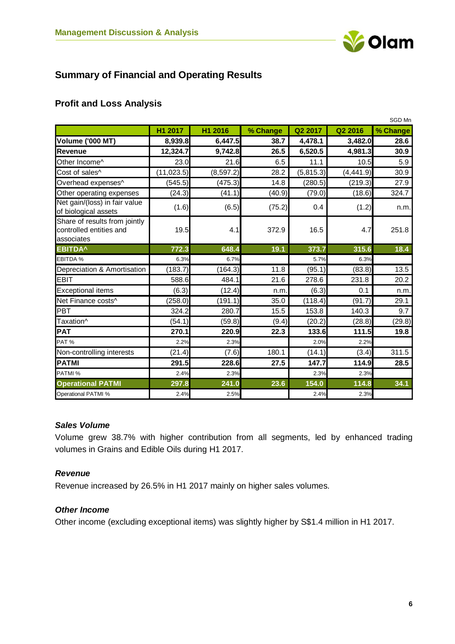

# <span id="page-5-0"></span>**Summary of Financial and Operating Results**

# <span id="page-5-1"></span>**Profit and Loss Analysis**

|                                                                        |             |            |          |           |            | SGD Mn   |
|------------------------------------------------------------------------|-------------|------------|----------|-----------|------------|----------|
|                                                                        | H1 2017     | H1 2016    | % Change | Q2 2017   | Q2 2016    | % Change |
| <b>Volume ('000 MT)</b>                                                | 8,939.8     | 6,447.5    | 38.7     | 4,478.1   | 3,482.0    | 28.6     |
| <b>Revenue</b>                                                         | 12,324.7    | 9,742.8    | 26.5     | 6,520.5   | 4,981.3    | 30.9     |
| Other Income^                                                          | 23.0        | 21.6       | 6.5      | 11.1      | 10.5       | 5.9      |
| Cost of sales^                                                         | (11, 023.5) | (8, 597.2) | 28.2     | (5,815.3) | (4, 441.9) | 30.9     |
| Overhead expenses^                                                     | (545.5)     | (475.3)    | 14.8     | (280.5)   | (219.3)    | 27.9     |
| Other operating expenses                                               | (24.3)      | (41.1)     | (40.9)   | (79.0)    | (18.6)     | 324.7    |
| Net gain/(loss) in fair value<br>of biological assets                  | (1.6)       | (6.5)      | (75.2)   | 0.4       | (1.2)      | n.m.     |
| Share of results from jointly<br>controlled entities and<br>associates | 19.5        | 4.1        | 372.9    | 16.5      | 4.7        | 251.8    |
| <b>EBITDA^</b>                                                         | 772.3       | 648.4      | 19.1     | 373.7     | 315.6      | 18.4     |
| <b>EBITDA %</b>                                                        | 6.3%        | 6.7%       |          | 5.7%      | 6.3%       |          |
| Depreciation & Amortisation                                            | (183.7)     | (164.3)    | 11.8     | (95.1)    | (83.8)     | 13.5     |
| <b>EBIT</b>                                                            | 588.6       | 484.1      | 21.6     | 278.6     | 231.8      | 20.2     |
| <b>Exceptional items</b>                                               | (6.3)       | (12.4)     | n.m.     | (6.3)     | 0.1        | n.m.     |
| Net Finance costs^                                                     | (258.0)     | (191.1)    | 35.0     | (118.4)   | (91.7)     | 29.1     |
| PBT                                                                    | 324.2       | 280.7      | 15.5     | 153.8     | 140.3      | 9.7      |
| Taxation^                                                              | (54.1)      | (59.8)     | (9.4)    | (20.2)    | (28.8)     | (29.8)   |
| <b>PAT</b>                                                             | 270.1       | 220.9      | 22.3     | 133.6     | 111.5      | 19.8     |
| PAT%                                                                   | 2.2%        | 2.3%       |          | 2.0%      | 2.2%       |          |
| Non-controlling interests                                              | (21.4)      | (7.6)      | 180.1    | (14.1)    | (3.4)      | 311.5    |
| <b>PATMI</b>                                                           | 291.5       | 228.6      | 27.5     | 147.7     | 114.9      | 28.5     |
| PATMI %                                                                | 2.4%        | 2.3%       |          | 2.3%      | 2.3%       |          |
| <b>Operational PATMI</b>                                               | 297.8       | 241.0      | 23.6     | 154.0     | 114.8      | 34.1     |
| <b>Operational PATMI %</b>                                             | 2.4%        | 2.5%       |          | 2.4%      | 2.3%       |          |

#### *Sales Volume*

Volume grew 38.7% with higher contribution from all segments, led by enhanced trading volumes in Grains and Edible Oils during H1 2017.

# *Revenue*

Revenue increased by 26.5% in H1 2017 mainly on higher sales volumes.

# *Other Income*

Other income (excluding exceptional items) was slightly higher by S\$1.4 million in H1 2017.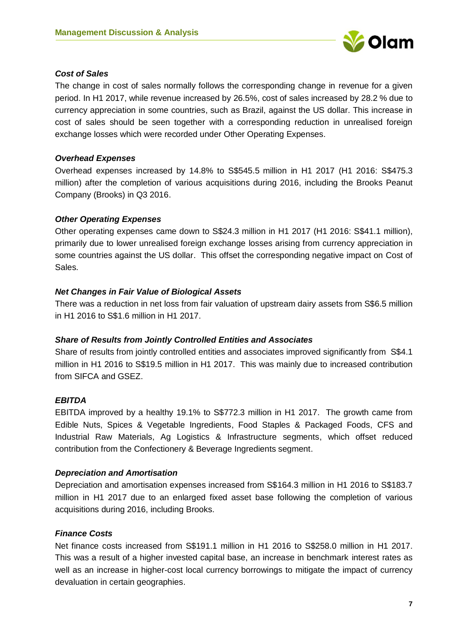

## *Cost of Sales*

The change in cost of sales normally follows the corresponding change in revenue for a given period. In H1 2017, while revenue increased by 26.5%, cost of sales increased by 28.2 % due to currency appreciation in some countries, such as Brazil, against the US dollar. This increase in cost of sales should be seen together with a corresponding reduction in unrealised foreign exchange losses which were recorded under Other Operating Expenses.

## *Overhead Expenses*

Overhead expenses increased by 14.8% to S\$545.5 million in H1 2017 (H1 2016: S\$475.3 million) after the completion of various acquisitions during 2016, including the Brooks Peanut Company (Brooks) in Q3 2016.

## *Other Operating Expenses*

Other operating expenses came down to S\$24.3 million in H1 2017 (H1 2016: S\$41.1 million), primarily due to lower unrealised foreign exchange losses arising from currency appreciation in some countries against the US dollar. This offset the corresponding negative impact on Cost of Sales.

## *Net Changes in Fair Value of Biological Assets*

There was a reduction in net loss from fair valuation of upstream dairy assets from S\$6.5 million in H1 2016 to S\$1.6 million in H1 2017.

# *Share of Results from Jointly Controlled Entities and Associates*

Share of results from jointly controlled entities and associates improved significantly from S\$4.1 million in H1 2016 to S\$19.5 million in H1 2017. This was mainly due to increased contribution from SIFCA and GSEZ.

# *EBITDA*

EBITDA improved by a healthy 19.1% to S\$772.3 million in H1 2017. The growth came from Edible Nuts, Spices & Vegetable Ingredients, Food Staples & Packaged Foods, CFS and Industrial Raw Materials, Ag Logistics & Infrastructure segments, which offset reduced contribution from the Confectionery & Beverage Ingredients segment.

#### *Depreciation and Amortisation*

Depreciation and amortisation expenses increased from S\$164.3 million in H1 2016 to S\$183.7 million in H1 2017 due to an enlarged fixed asset base following the completion of various acquisitions during 2016, including Brooks.

# *Finance Costs*

Net finance costs increased from S\$191.1 million in H1 2016 to S\$258.0 million in H1 2017. This was a result of a higher invested capital base, an increase in benchmark interest rates as well as an increase in higher-cost local currency borrowings to mitigate the impact of currency devaluation in certain geographies.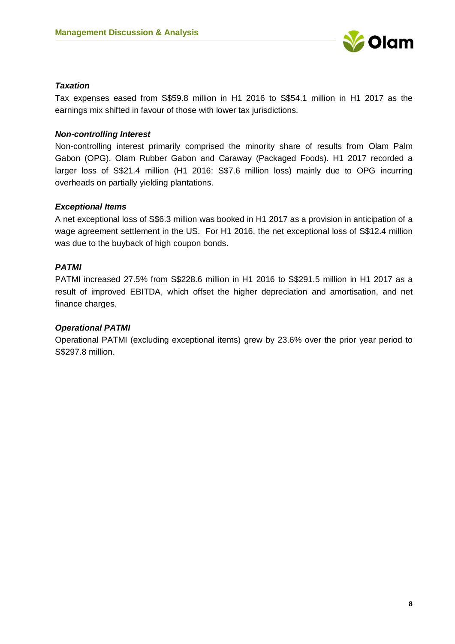

## *Taxation*

Tax expenses eased from S\$59.8 million in H1 2016 to S\$54.1 million in H1 2017 as the earnings mix shifted in favour of those with lower tax jurisdictions.

### *Non-controlling Interest*

Non-controlling interest primarily comprised the minority share of results from Olam Palm Gabon (OPG), Olam Rubber Gabon and Caraway (Packaged Foods). H1 2017 recorded a larger loss of S\$21.4 million (H1 2016: S\$7.6 million loss) mainly due to OPG incurring overheads on partially yielding plantations.

## *Exceptional Items*

A net exceptional loss of S\$6.3 million was booked in H1 2017 as a provision in anticipation of a wage agreement settlement in the US. For H1 2016, the net exceptional loss of S\$12.4 million was due to the buyback of high coupon bonds.

## *PATMI*

PATMI increased 27.5% from S\$228.6 million in H1 2016 to S\$291.5 million in H1 2017 as a result of improved EBITDA, which offset the higher depreciation and amortisation, and net finance charges.

#### *Operational PATMI*

Operational PATMI (excluding exceptional items) grew by 23.6% over the prior year period to S\$297.8 million.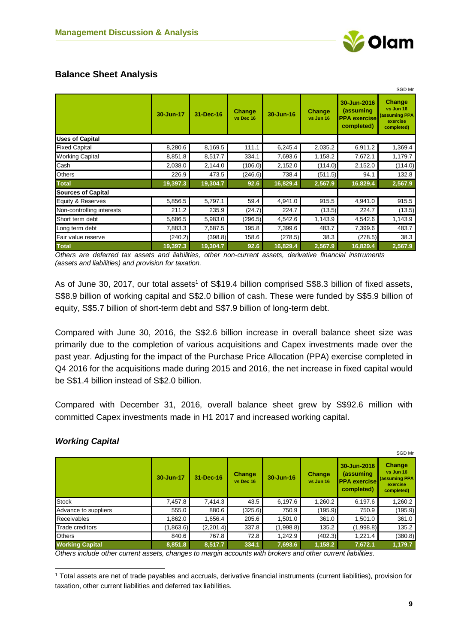# <span id="page-8-0"></span>**Balance Sheet Analysis**

|                           |           |           |                     |           |                            |                                                               | SGD Mn                                                                |
|---------------------------|-----------|-----------|---------------------|-----------|----------------------------|---------------------------------------------------------------|-----------------------------------------------------------------------|
|                           | 30-Jun-17 | 31-Dec-16 | Change<br>vs Dec 16 | 30-Jun-16 | <b>Change</b><br>vs Jun 16 | 30-Jun-2016<br>(assuming<br><b>PPA</b> exercise<br>completed) | <b>Change</b><br>vs Jun 16<br>(assuming PPA<br>exercise<br>completed) |
| <b>Uses of Capital</b>    |           |           |                     |           |                            |                                                               |                                                                       |
| <b>Fixed Capital</b>      | 8,280.6   | 8,169.5   | 111.1               | 6,245.4   | 2,035.2                    | 6,911.2                                                       | 1,369.4                                                               |
| <b>Working Capital</b>    | 8,851.8   | 8,517.7   | 334.1               | 7,693.6   | 1,158.2                    | 7,672.1                                                       | 1,179.7                                                               |
| Cash                      | 2,038.0   | 2,144.0   | (106.0)             | 2,152.0   | (114.0)                    | 2,152.0                                                       | (114.0)                                                               |
| <b>Others</b>             | 226.9     | 473.5     | (246.6)             | 738.4     | (511.5)                    | 94.1                                                          | 132.8                                                                 |
| <b>Total</b>              | 19,397.3  | 19,304.7  | 92.6                | 16,829.4  | 2,567.9                    | 16,829.4                                                      | 2,567.9                                                               |
| <b>Sources of Capital</b> |           |           |                     |           |                            |                                                               |                                                                       |
| Equity & Reserves         | 5,856.5   | 5,797.1   | 59.4                | 4,941.0   | 915.5                      | 4,941.0                                                       | 915.5                                                                 |
| Non-controlling interests | 211.2     | 235.9     | (24.7)              | 224.7     | (13.5)                     | 224.7                                                         | (13.5)                                                                |
| Short term debt           | 5,686.5   | 5,983.0   | (296.5)             | 4,542.6   | 1,143.9                    | 4,542.6                                                       | 1,143.9                                                               |
| Long term debt            | 7,883.3   | 7,687.5   | 195.8               | 7,399.6   | 483.7                      | 7,399.6                                                       | 483.7                                                                 |
| Fair value reserve        | (240.2)   | (398.8)   | 158.6               | (278.5)   | 38.3                       | (278.5)                                                       | 38.3                                                                  |
| <b>Total</b>              | 19,397.3  | 19,304.7  | 92.6                | 16,829.4  | 2,567.9                    | 16,829.4                                                      | 2,567.9                                                               |

*Others are deferred tax assets and liabilities, other non-current assets, derivative financial instruments (assets and liabilities) and provision for taxation.* 

As of June 30, 2017, our total assets<sup>1</sup> of S\$19.4 billion comprised S\$8.3 billion of fixed assets, S\$8.9 billion of working capital and S\$2.0 billion of cash. These were funded by S\$5.9 billion of equity, S\$5.7 billion of short-term debt and S\$7.9 billion of long-term debt.

Compared with June 30, 2016, the S\$2.6 billion increase in overall balance sheet size was primarily due to the completion of various acquisitions and Capex investments made over the past year. Adjusting for the impact of the Purchase Price Allocation (PPA) exercise completed in Q4 2016 for the acquisitions made during 2015 and 2016, the net increase in fixed capital would be S\$1.4 billion instead of S\$2.0 billion.

Compared with December 31, 2016, overall balance sheet grew by S\$92.6 million with committed Capex investments made in H1 2017 and increased working capital.

|                        |           |           |                     |           |                            |                                                               | SGD Mn                                                         |
|------------------------|-----------|-----------|---------------------|-----------|----------------------------|---------------------------------------------------------------|----------------------------------------------------------------|
|                        | 30-Jun-17 | 31-Dec-16 | Change<br>vs Dec 16 | 30-Jun-16 | <b>Change</b><br>vs Jun 16 | 30-Jun-2016<br>(assuming<br><b>PPA</b> exercise<br>completed) | Change<br>vs Jun 16<br>(assuming PPA<br>exercise<br>completed) |
| <b>Stock</b>           | 7,457.8   | 7,414.3   | 43.5                | 6,197.6   | 1,260.2                    | 6,197.6                                                       | 1,260.2                                                        |
| Advance to suppliers   | 555.0     | 880.6     | (325.6)             | 750.9     | (195.9)                    | 750.9                                                         | (195.9)                                                        |
| <b>Receivables</b>     | 1,862.0   | 1,656.4   | 205.6               | 1,501.0   | 361.0                      | 1,501.0                                                       | 361.0                                                          |
| Trade creditors        | (1,863.6) | (2,201.4) | 337.8               | (1,998.8) | 135.2                      | (1,998.8)                                                     | 135.2                                                          |
| <b>Others</b>          | 840.6     | 767.8     | 72.8                | 1,242.9   | (402.3)                    | 1,221.4                                                       | (380.8)                                                        |
| <b>Working Capital</b> | 8,851.8   | 8,517.7   | 334.1               | 7,693.6   | 1,158.2                    | 7,672.1                                                       | 1,179.7                                                        |

# *Working Capital*

-

*Others include other current assets, changes to margin accounts with brokers and other current liabilities.*

<sup>1</sup> Total assets are net of trade payables and accruals, derivative financial instruments (current liabilities), provision for taxation, other current liabilities and deferred tax liabilities.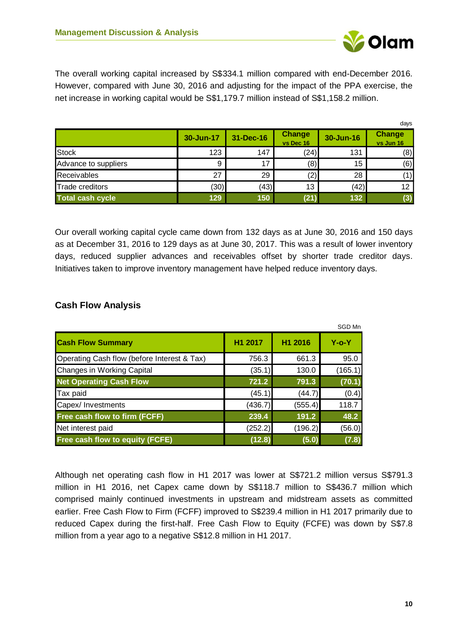

The overall working capital increased by S\$334.1 million compared with end-December 2016. However, compared with June 30, 2016 and adjusting for the impact of the PPA exercise, the net increase in working capital would be S\$1,179.7 million instead of S\$1,158.2 million.

|                         |           |           |                            |           | days                       |
|-------------------------|-----------|-----------|----------------------------|-----------|----------------------------|
|                         | 30-Jun-17 | 31-Dec-16 | <b>Change</b><br>vs Dec 16 | 30-Jun-16 | <b>Change</b><br>vs Jun 16 |
| <b>Stock</b>            | 123       | 147       | (24)                       | 131       | (8)                        |
| Advance to suppliers    | 9         | 17        | (8)                        | 15        | (6)                        |
| <b>Receivables</b>      | 27        | 29        | (2)                        | 28        | (1)                        |
| <b>Trade creditors</b>  | (30)      | (43)      | 13                         | (42)      | 12                         |
| <b>Total cash cycle</b> | 129       | 150       | (21)                       | 132       | (3)                        |

Our overall working capital cycle came down from 132 days as at June 30, 2016 and 150 days as at December 31, 2016 to 129 days as at June 30, 2017. This was a result of lower inventory days, reduced supplier advances and receivables offset by shorter trade creditor days. Initiatives taken to improve inventory management have helped reduce inventory days.

# <span id="page-9-0"></span>**Cash Flow Analysis**

|                                             |         |         | SGD Mn      |
|---------------------------------------------|---------|---------|-------------|
| <b>Cash Flow Summary</b>                    | H1 2017 | H1 2016 | $Y$ -0- $Y$ |
| Operating Cash flow (before Interest & Tax) | 756.3   | 661.3   | 95.0        |
| <b>Changes in Working Capital</b>           | (35.1)  | 130.0   | (165.1)     |
| <b>Net Operating Cash Flow</b>              | 721.2   | 791.3   | (70.1)      |
| Tax paid                                    | (45.1)  | (44.7)  | (0.4)       |
| Capex/ Investments                          | (436.7) | (555.4) | 118.7       |
| <b>Free cash flow to firm (FCFF)</b>        | 239.4   | 191.2   | 48.2        |
| Net interest paid                           | (252.2) | (196.2) | (56.0)      |
| <b>Free cash flow to equity (FCFE)</b>      | (12.8)  | (5.0)   | (7.8)       |

Although net operating cash flow in H1 2017 was lower at S\$721.2 million versus S\$791.3 million in H1 2016, net Capex came down by S\$118.7 million to S\$436.7 million which comprised mainly continued investments in upstream and midstream assets as committed earlier. Free Cash Flow to Firm (FCFF) improved to S\$239.4 million in H1 2017 primarily due to reduced Capex during the first-half. Free Cash Flow to Equity (FCFE) was down by S\$7.8 million from a year ago to a negative S\$12.8 million in H1 2017.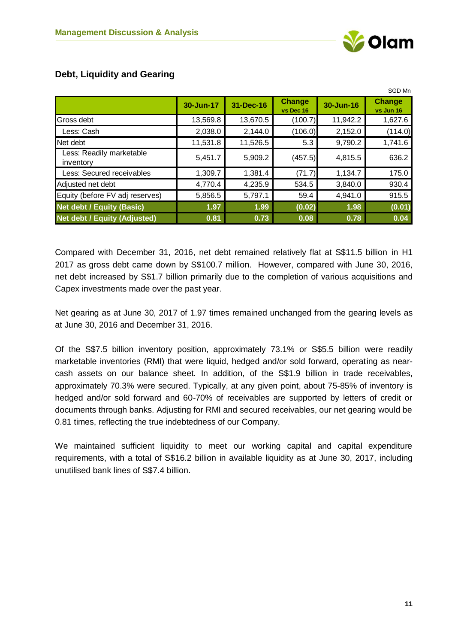SGD Mn

|                                       |           |           |                            |           | וועו שטט                   |
|---------------------------------------|-----------|-----------|----------------------------|-----------|----------------------------|
|                                       | 30-Jun-17 | 31-Dec-16 | <b>Change</b><br>vs Dec 16 | 30-Jun-16 | <b>Change</b><br>vs Jun 16 |
| Gross debt                            | 13,569.8  | 13,670.5  | (100.7)                    | 11,942.2  | 1,627.6                    |
| Less: Cash                            | 2,038.0   | 2,144.0   | (106.0)                    | 2,152.0   | (114.0)                    |
| Net debt                              | 11,531.8  | 11,526.5  | 5.3                        | 9,790.2   | 1,741.6                    |
| Less: Readily marketable<br>inventory | 5,451.7   | 5,909.2   | (457.5)                    | 4,815.5   | 636.2                      |
| Less: Secured receivables             | 1,309.7   | 1,381.4   | (71.7)                     | 1,134.7   | 175.0                      |
| Adjusted net debt                     | 4,770.4   | 4,235.9   | 534.5                      | 3,840.0   | 930.4                      |
| Equity (before FV adj reserves)       | 5,856.5   | 5,797.1   | 59.4                       | 4,941.0   | 915.5                      |
| <b>Net debt / Equity (Basic)</b>      | 1.97      | 1.99      | (0.02)                     | 1.98      | (0.01)                     |
| <b>Net debt / Equity (Adjusted)</b>   | 0.81      | 0.73      | 0.08                       | 0.78      | 0.04                       |

# <span id="page-10-0"></span>**Debt, Liquidity and Gearing**

Compared with December 31, 2016, net debt remained relatively flat at S\$11.5 billion in H1 2017 as gross debt came down by S\$100.7 million. However, compared with June 30, 2016, net debt increased by S\$1.7 billion primarily due to the completion of various acquisitions and Capex investments made over the past year.

Net gearing as at June 30, 2017 of 1.97 times remained unchanged from the gearing levels as at June 30, 2016 and December 31, 2016.

Of the S\$7.5 billion inventory position, approximately 73.1% or S\$5.5 billion were readily marketable inventories (RMI) that were liquid, hedged and/or sold forward, operating as nearcash assets on our balance sheet. In addition, of the S\$1.9 billion in trade receivables, approximately 70.3% were secured. Typically, at any given point, about 75-85% of inventory is hedged and/or sold forward and 60-70% of receivables are supported by letters of credit or documents through banks. Adjusting for RMI and secured receivables, our net gearing would be 0.81 times, reflecting the true indebtedness of our Company.

We maintained sufficient liquidity to meet our working capital and capital expenditure requirements, with a total of S\$16.2 billion in available liquidity as at June 30, 2017, including unutilised bank lines of S\$7.4 billion.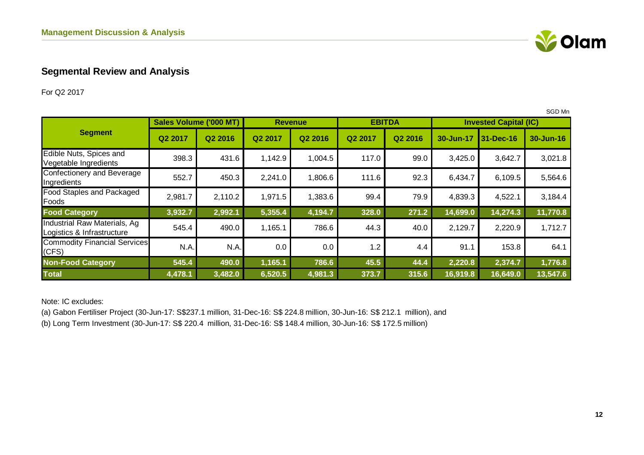

# **Segmental Review and Analysis**

For Q2 2017

|                                                            |                               |         |                  |                     |         |                     |           |                              | SGD Mn    |
|------------------------------------------------------------|-------------------------------|---------|------------------|---------------------|---------|---------------------|-----------|------------------------------|-----------|
|                                                            | <b>Sales Volume ('000 MT)</b> |         |                  | <b>Revenue</b>      |         | <b>EBITDA</b>       |           | <b>Invested Capital (IC)</b> |           |
| <b>Segment</b>                                             | Q <sub>2</sub> 2017           | Q2 2016 | Q2 2017          | Q <sub>2</sub> 2016 | Q2 2017 | Q <sub>2</sub> 2016 | 30-Jun-17 | 31-Dec-16                    | 30-Jun-16 |
| Edible Nuts, Spices and<br>Vegetable Ingredients           | 398.3                         | 431.6   | 1,142.9          | 1,004.5             | 117.0   | 99.0                | 3,425.0   | 3,642.7                      | 3,021.8   |
| Confectionery and Beverage<br>Ingredients                  | 552.7                         | 450.3   | 2,241.0          | 1,806.6             | 111.6   | 92.3                | 6,434.7   | 6,109.5                      | 5,564.6   |
| Food Staples and Packaged<br>Foods                         | 2,981.7                       | 2,110.2 | 1,971.5          | 1,383.6             | 99.4    | 79.9                | 4,839.3   | 4,522.1                      | 3,184.4   |
| <b>Food Category</b>                                       | 3,932.7                       | 2,992.1 | 5,355.4          | 4,194.7             | 328.0   | 271.2               | 14,699.0  | 14,274.3                     | 11,770.8  |
| Industrial Raw Materials, Ag<br>Logistics & Infrastructure | 545.4                         | 490.0   | 1,165.1          | 786.6               | 44.3    | 40.0                | 2,129.7   | 2,220.9                      | 1,712.7   |
| <b>Commodity Financial Services</b><br>(CFS)               | N.A.                          | N.A.    | 0.0 <sub>1</sub> | 0.0                 | 1.2     | 4.4                 | 91.1      | 153.8                        | 64.1      |
| <b>Non-Food Category</b>                                   | 545.4                         | 490.0   | 1,165.1          | 786.6               | 45.5    | 44.4                | 2,220.8   | 2,374.7                      | 1,776.8   |
| <b>Total</b>                                               | 4,478.1                       | 3,482.0 | 6,520.5          | 4,981.3             | 373.7   | 315.6               | 16,919.8  | 16,649.0                     | 13,547.6  |

<span id="page-11-0"></span>Note: IC excludes:

(a) Gabon Fertiliser Project (30-Jun-17: S\$237.1 million, 31-Dec-16: S\$ 224.8 million, 30-Jun-16: S\$ 212.1 million), and

(b) Long Term Investment (30-Jun-17: S\$ 220.4 million, 31-Dec-16: S\$ 148.4 million, 30-Jun-16: S\$ 172.5 million)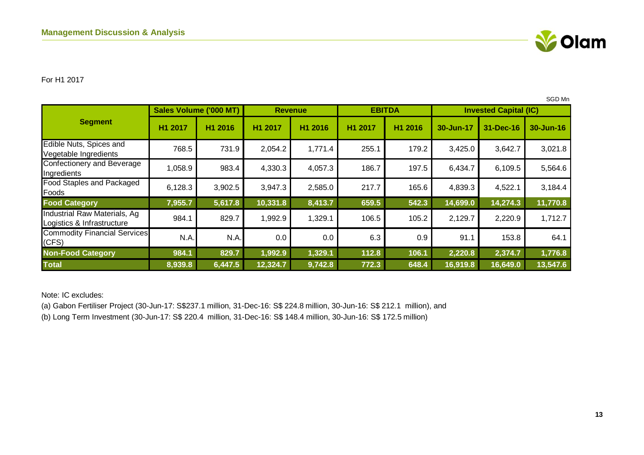

#### For H1 2017

|                                                            |         |                        |          |                |                     |               |           |                              | SGD Mn    |
|------------------------------------------------------------|---------|------------------------|----------|----------------|---------------------|---------------|-----------|------------------------------|-----------|
|                                                            |         | Sales Volume ('000 MT) |          | <b>Revenue</b> |                     | <b>EBITDA</b> |           | <b>Invested Capital (IC)</b> |           |
| <b>Segment</b>                                             | H1 2017 | H1 2016                | H1 2017  | H1 2016        | H <sub>1</sub> 2017 | H1 2016       | 30-Jun-17 | 31-Dec-16                    | 30-Jun-16 |
| Edible Nuts, Spices and<br>Vegetable Ingredients           | 768.5   | 731.9                  | 2,054.2  | 1,771.4        | 255.1               | 179.2         | 3,425.0   | 3,642.7                      | 3,021.8   |
| Confectionery and Beverage<br>Ingredients                  | 1,058.9 | 983.4                  | 4,330.3  | 4,057.3        | 186.7               | 197.5         | 6,434.7   | 6,109.5                      | 5,564.6   |
| <b>Food Staples and Packaged</b><br>Foods                  | 6,128.3 | 3,902.5                | 3,947.3  | 2,585.0        | 217.7               | 165.6         | 4,839.3   | 4,522.1                      | 3,184.4   |
| <b>Food Category</b>                                       | 7,955.7 | 5,617.8                | 10,331.8 | 8,413.7        | 659.5               | 542.3         | 14,699.0  | 14,274.3                     | 11,770.8  |
| Industrial Raw Materials, Ag<br>Logistics & Infrastructure | 984.1   | 829.7                  | 1,992.9  | 1,329.1        | 106.5               | 105.2         | 2,129.7   | 2,220.9                      | 1,712.7   |
| <b>Commodity Financial Services</b><br>(CFS)               | N.A.    | N.A.                   | 0.0      | 0.0            | 6.3                 | 0.9           | 91.1      | 153.8                        | 64.1      |
| <b>Non-Food Category</b>                                   | 984.1   | 829.7                  | 1,992.9  | 1,329.1        | 112.8               | 106.1         | 2,220.8   | 2,374.7                      | 1,776.8   |
| <b>Total</b>                                               | 8,939.8 | 6,447.5                | 12,324.7 | 9,742.8        | 772.3               | 648.4         | 16,919.8  | 16,649.0                     | 13,547.6  |

Note: IC excludes:

(a) Gabon Fertiliser Project (30-Jun-17: S\$237.1 million, 31-Dec-16: S\$ 224.8 million, 30-Jun-16: S\$ 212.1 million), and (b) Long Term Investment (30-Jun-17: S\$ 220.4 million, 31-Dec-16: S\$ 148.4 million, 30-Jun-16: S\$ 172.5 million)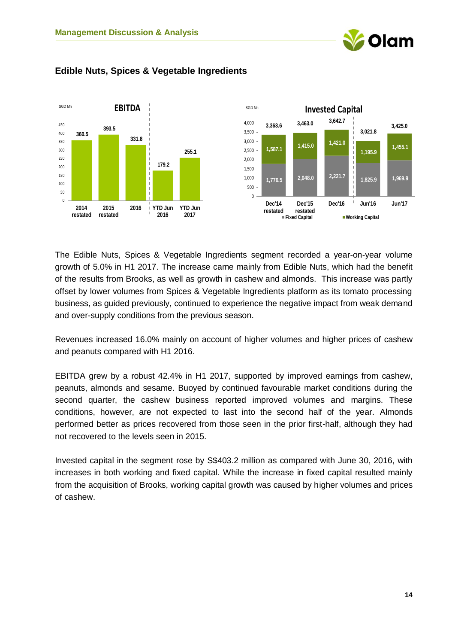



# <span id="page-13-0"></span>**Edible Nuts, Spices & Vegetable Ingredients**

The Edible Nuts, Spices & Vegetable Ingredients segment recorded a year-on-year volume growth of 5.0% in H1 2017. The increase came mainly from Edible Nuts, which had the benefit of the results from Brooks, as well as growth in cashew and almonds. This increase was partly offset by lower volumes from Spices & Vegetable Ingredients platform as its tomato processing business, as guided previously, continued to experience the negative impact from weak demand and over-supply conditions from the previous season.

Revenues increased 16.0% mainly on account of higher volumes and higher prices of cashew and peanuts compared with H1 2016.

EBITDA grew by a robust 42.4% in H1 2017, supported by improved earnings from cashew, peanuts, almonds and sesame. Buoyed by continued favourable market conditions during the second quarter, the cashew business reported improved volumes and margins. These conditions, however, are not expected to last into the second half of the year. Almonds performed better as prices recovered from those seen in the prior first-half, although they had not recovered to the levels seen in 2015.

Invested capital in the segment rose by S\$403.2 million as compared with June 30, 2016, with increases in both working and fixed capital. While the increase in fixed capital resulted mainly from the acquisition of Brooks, working capital growth was caused by higher volumes and prices of cashew.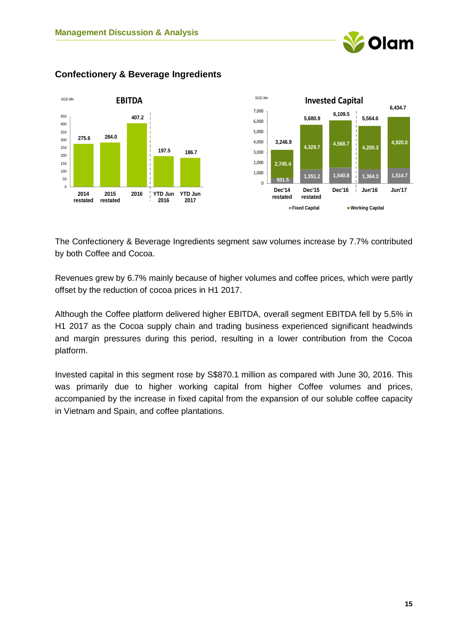



# <span id="page-14-0"></span>**Confectionery & Beverage Ingredients**

The Confectionery & Beverage Ingredients segment saw volumes increase by 7.7% contributed by both Coffee and Cocoa.

Revenues grew by 6.7% mainly because of higher volumes and coffee prices, which were partly offset by the reduction of cocoa prices in H1 2017.

Although the Coffee platform delivered higher EBITDA, overall segment EBITDA fell by 5.5% in H1 2017 as the Cocoa supply chain and trading business experienced significant headwinds and margin pressures during this period, resulting in a lower contribution from the Cocoa platform.

Invested capital in this segment rose by S\$870.1 million as compared with June 30, 2016. This was primarily due to higher working capital from higher Coffee volumes and prices, accompanied by the increase in fixed capital from the expansion of our soluble coffee capacity in Vietnam and Spain, and coffee plantations.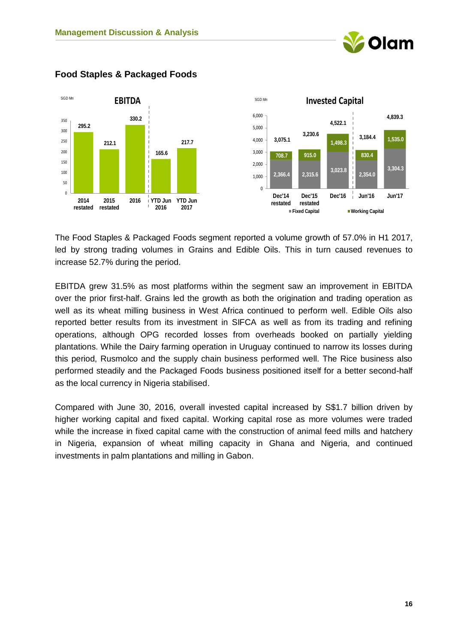



<span id="page-15-0"></span>**Food Staples & Packaged Foods**

The Food Staples & Packaged Foods segment reported a volume growth of 57.0% in H1 2017, led by strong trading volumes in Grains and Edible Oils. This in turn caused revenues to increase 52.7% during the period.

EBITDA grew 31.5% as most platforms within the segment saw an improvement in EBITDA over the prior first-half. Grains led the growth as both the origination and trading operation as well as its wheat milling business in West Africa continued to perform well. Edible Oils also reported better results from its investment in SIFCA as well as from its trading and refining operations, although OPG recorded losses from overheads booked on partially yielding plantations. While the Dairy farming operation in Uruguay continued to narrow its losses during this period, Rusmolco and the supply chain business performed well. The Rice business also performed steadily and the Packaged Foods business positioned itself for a better second-half as the local currency in Nigeria stabilised.

Compared with June 30, 2016, overall invested capital increased by S\$1.7 billion driven by higher working capital and fixed capital. Working capital rose as more volumes were traded while the increase in fixed capital came with the construction of animal feed mills and hatchery in Nigeria, expansion of wheat milling capacity in Ghana and Nigeria, and continued investments in palm plantations and milling in Gabon.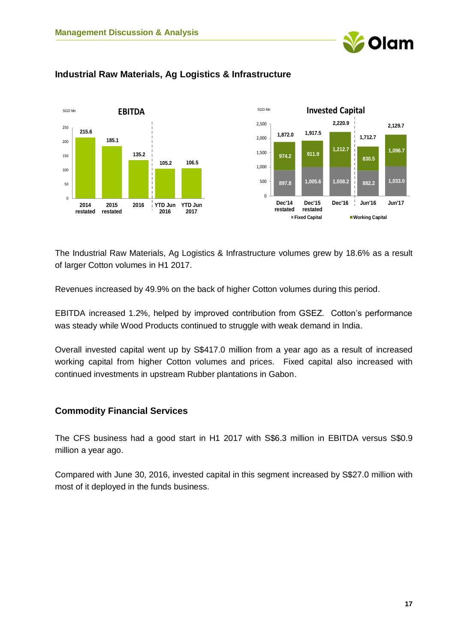



# <span id="page-16-0"></span>**Industrial Raw Materials, Ag Logistics & Infrastructure**

The Industrial Raw Materials, Ag Logistics & Infrastructure volumes grew by 18.6% as a result of larger Cotton volumes in H1 2017.

Revenues increased by 49.9% on the back of higher Cotton volumes during this period.

EBITDA increased 1.2%, helped by improved contribution from GSEZ. Cotton's performance was steady while Wood Products continued to struggle with weak demand in India.

Overall invested capital went up by S\$417.0 million from a year ago as a result of increased working capital from higher Cotton volumes and prices. Fixed capital also increased with continued investments in upstream Rubber plantations in Gabon.

# <span id="page-16-1"></span>**Commodity Financial Services**

The CFS business had a good start in H1 2017 with S\$6.3 million in EBITDA versus S\$0.9 million a year ago.

Compared with June 30, 2016, invested capital in this segment increased by S\$27.0 million with most of it deployed in the funds business.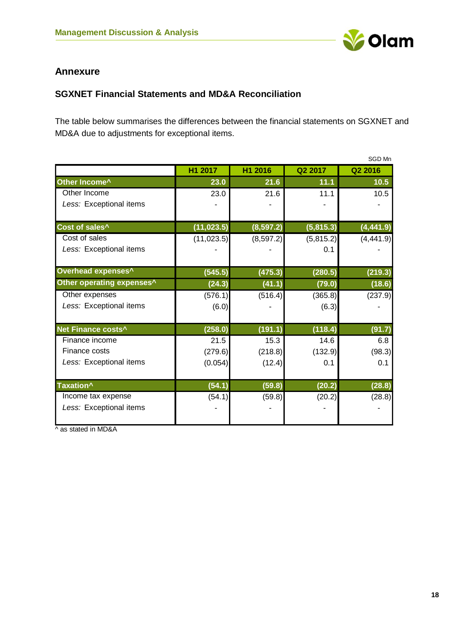

# <span id="page-17-0"></span>**Annexure**

# <span id="page-17-1"></span>**SGXNET Financial Statements and MD&A Reconciliation**

The table below summarises the differences between the financial statements on SGXNET and MD&A due to adjustments for exceptional items.

|                            |             |            |           | SGD Mn     |
|----------------------------|-------------|------------|-----------|------------|
|                            | H1 2017     | H1 2016    | Q2 2017   | Q2 2016    |
| Other Income <sup>^</sup>  | 23.0        | 21.6       | 11.1      | 10.5       |
| Other Income               | 23.0        | 21.6       | 11.1      | 10.5       |
| Less: Exceptional items    |             |            |           |            |
| Cost of sales <sup>^</sup> | (11, 023.5) | (8, 597.2) | (5,815.3) | (4, 441.9) |
| Cost of sales              | (11, 023.5) | (8, 597.2) | (5,815.2) | (4, 441.9) |
| Less: Exceptional items    |             |            | 0.1       |            |
| Overhead expenses^         | (545.5)     | (475.3)    | (280.5)   | (219.3)    |
| Other operating expenses^  | (24.3)      | (41.1)     | (79.0)    | (18.6)     |
| Other expenses             | (576.1)     | (516.4)    | (365.8)   | (237.9)    |
| Less: Exceptional items    | (6.0)       |            | (6.3)     |            |
| Net Finance costs^         | (258.0)     | (191.1)    | (118.4)   | (91.7)     |
| Finance income             | 21.5        | 15.3       | 14.6      | 6.8        |
| Finance costs              | (279.6)     | (218.8)    | (132.9)   | (98.3)     |
| Less: Exceptional items    | (0.054)     | (12.4)     | 0.1       | 0.1        |
| Taxation <sup>^</sup>      | (54.1)      | (59.8)     | (20.2)    | (28.8)     |
| Income tax expense         | (54.1)      | (59.8)     | (20.2)    | (28.8)     |
| Less: Exceptional items    |             |            |           |            |

^ as stated in MD&A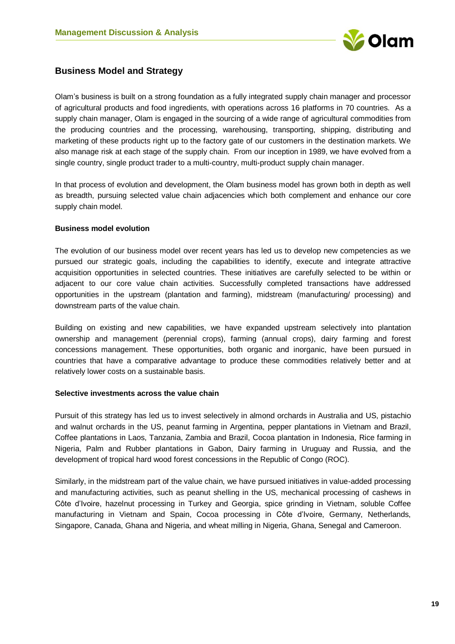

# <span id="page-18-0"></span>**Business Model and Strategy**

Olam's business is built on a strong foundation as a fully integrated supply chain manager and processor of agricultural products and food ingredients, with operations across 16 platforms in 70 countries. As a supply chain manager, Olam is engaged in the sourcing of a wide range of agricultural commodities from the producing countries and the processing, warehousing, transporting, shipping, distributing and marketing of these products right up to the factory gate of our customers in the destination markets. We also manage risk at each stage of the supply chain. From our inception in 1989, we have evolved from a single country, single product trader to a multi-country, multi-product supply chain manager.

In that process of evolution and development, the Olam business model has grown both in depth as well as breadth, pursuing selected value chain adjacencies which both complement and enhance our core supply chain model.

#### **Business model evolution**

The evolution of our business model over recent years has led us to develop new competencies as we pursued our strategic goals, including the capabilities to identify, execute and integrate attractive acquisition opportunities in selected countries. These initiatives are carefully selected to be within or adjacent to our core value chain activities. Successfully completed transactions have addressed opportunities in the upstream (plantation and farming), midstream (manufacturing/ processing) and downstream parts of the value chain.

Building on existing and new capabilities, we have expanded upstream selectively into plantation ownership and management (perennial crops), farming (annual crops), dairy farming and forest concessions management. These opportunities, both organic and inorganic, have been pursued in countries that have a comparative advantage to produce these commodities relatively better and at relatively lower costs on a sustainable basis.

#### **Selective investments across the value chain**

Pursuit of this strategy has led us to invest selectively in almond orchards in Australia and US, pistachio and walnut orchards in the US, peanut farming in Argentina, pepper plantations in Vietnam and Brazil, Coffee plantations in Laos, Tanzania, Zambia and Brazil, Cocoa plantation in Indonesia, Rice farming in Nigeria, Palm and Rubber plantations in Gabon, Dairy farming in Uruguay and Russia, and the development of tropical hard wood forest concessions in the Republic of Congo (ROC).

Similarly, in the midstream part of the value chain, we have pursued initiatives in value-added processing and manufacturing activities, such as peanut shelling in the US, mechanical processing of cashews in Côte d'Ivoire, hazelnut processing in Turkey and Georgia, spice grinding in Vietnam, soluble Coffee manufacturing in Vietnam and Spain, Cocoa processing in Côte d'Ivoire, Germany, Netherlands, Singapore, Canada, Ghana and Nigeria, and wheat milling in Nigeria, Ghana, Senegal and Cameroon.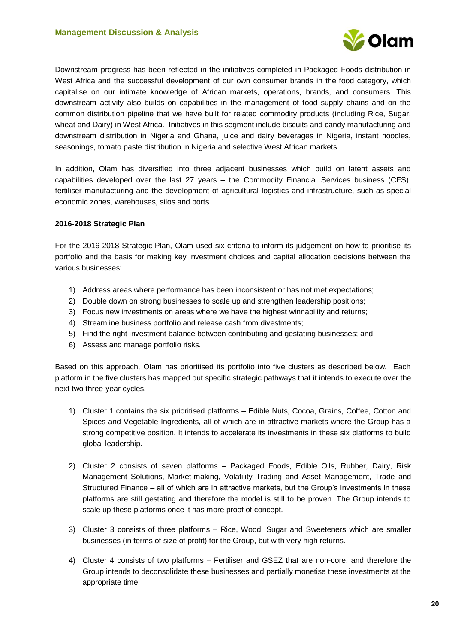

Downstream progress has been reflected in the initiatives completed in Packaged Foods distribution in West Africa and the successful development of our own consumer brands in the food category, which capitalise on our intimate knowledge of African markets, operations, brands, and consumers. This downstream activity also builds on capabilities in the management of food supply chains and on the common distribution pipeline that we have built for related commodity products (including Rice, Sugar, wheat and Dairy) in West Africa. Initiatives in this segment include biscuits and candy manufacturing and downstream distribution in Nigeria and Ghana, juice and dairy beverages in Nigeria, instant noodles, seasonings, tomato paste distribution in Nigeria and selective West African markets.

In addition, Olam has diversified into three adjacent businesses which build on latent assets and capabilities developed over the last 27 years – the Commodity Financial Services business (CFS), fertiliser manufacturing and the development of agricultural logistics and infrastructure, such as special economic zones, warehouses, silos and ports.

#### **2016-2018 Strategic Plan**

For the 2016-2018 Strategic Plan, Olam used six criteria to inform its judgement on how to prioritise its portfolio and the basis for making key investment choices and capital allocation decisions between the various businesses:

- 1) Address areas where performance has been inconsistent or has not met expectations;
- 2) Double down on strong businesses to scale up and strengthen leadership positions;
- 3) Focus new investments on areas where we have the highest winnability and returns;
- 4) Streamline business portfolio and release cash from divestments;
- 5) Find the right investment balance between contributing and gestating businesses; and
- 6) Assess and manage portfolio risks.

Based on this approach, Olam has prioritised its portfolio into five clusters as described below. Each platform in the five clusters has mapped out specific strategic pathways that it intends to execute over the next two three-year cycles.

- 1) Cluster 1 contains the six prioritised platforms Edible Nuts, Cocoa, Grains, Coffee, Cotton and Spices and Vegetable Ingredients, all of which are in attractive markets where the Group has a strong competitive position. It intends to accelerate its investments in these six platforms to build global leadership.
- 2) Cluster 2 consists of seven platforms Packaged Foods, Edible Oils, Rubber, Dairy, Risk Management Solutions, Market-making, Volatility Trading and Asset Management, Trade and Structured Finance – all of which are in attractive markets, but the Group's investments in these platforms are still gestating and therefore the model is still to be proven. The Group intends to scale up these platforms once it has more proof of concept.
- 3) Cluster 3 consists of three platforms Rice, Wood, Sugar and Sweeteners which are smaller businesses (in terms of size of profit) for the Group, but with very high returns.
- 4) Cluster 4 consists of two platforms Fertiliser and GSEZ that are non-core, and therefore the Group intends to deconsolidate these businesses and partially monetise these investments at the appropriate time.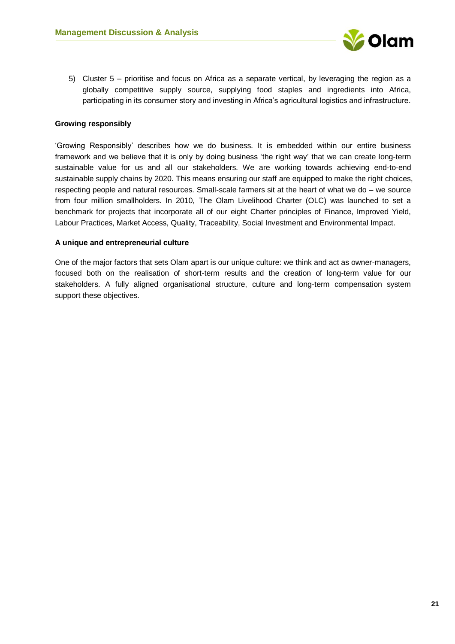

5) Cluster 5 – prioritise and focus on Africa as a separate vertical, by leveraging the region as a globally competitive supply source, supplying food staples and ingredients into Africa, participating in its consumer story and investing in Africa's agricultural logistics and infrastructure.

#### **Growing responsibly**

'Growing Responsibly' describes how we do business. It is embedded within our entire business framework and we believe that it is only by doing business 'the right way' that we can create long-term sustainable value for us and all our stakeholders. We are working towards achieving end-to-end sustainable supply chains by 2020. This means ensuring our staff are equipped to make the right choices, respecting people and natural resources. Small-scale farmers sit at the heart of what we do – we source from four million smallholders. In 2010, The Olam Livelihood Charter (OLC) was launched to set a benchmark for projects that incorporate all of our eight Charter principles of Finance, Improved Yield, Labour Practices, Market Access, Quality, Traceability, Social Investment and Environmental Impact.

#### **A unique and entrepreneurial culture**

One of the major factors that sets Olam apart is our unique culture: we think and act as owner-managers, focused both on the realisation of short-term results and the creation of long-term value for our stakeholders. A fully aligned organisational structure, culture and long-term compensation system support these objectives.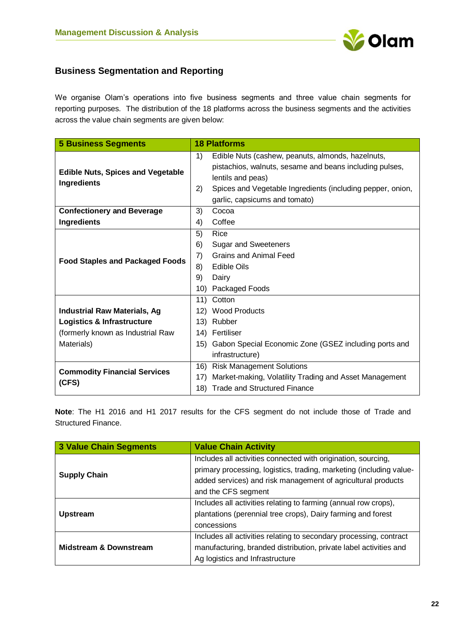

# <span id="page-21-0"></span>**Business Segmentation and Reporting**

We organise Olam's operations into five business segments and three value chain segments for reporting purposes. The distribution of the 18 platforms across the business segments and the activities across the value chain segments are given below:

| <b>5 Business Segments</b>                              |          | <b>18 Platforms</b>                                                                                                                                                                                                              |
|---------------------------------------------------------|----------|----------------------------------------------------------------------------------------------------------------------------------------------------------------------------------------------------------------------------------|
| <b>Edible Nuts, Spices and Vegetable</b><br>Ingredients | 1)<br>2) | Edible Nuts (cashew, peanuts, almonds, hazelnuts,<br>pistachios, walnuts, sesame and beans including pulses,<br>lentils and peas)<br>Spices and Vegetable Ingredients (including pepper, onion,<br>garlic, capsicums and tomato) |
| <b>Confectionery and Beverage</b>                       | 3)       | Cocoa                                                                                                                                                                                                                            |
| <b>Ingredients</b>                                      | 4)       | Coffee                                                                                                                                                                                                                           |
|                                                         | 5)       | Rice                                                                                                                                                                                                                             |
|                                                         | 6)       | Sugar and Sweeteners                                                                                                                                                                                                             |
| <b>Food Staples and Packaged Foods</b>                  | 7)       | <b>Grains and Animal Feed</b>                                                                                                                                                                                                    |
|                                                         | 8)       | <b>Edible Oils</b>                                                                                                                                                                                                               |
|                                                         | 9)       | Dairy                                                                                                                                                                                                                            |
|                                                         | 10)      | Packaged Foods                                                                                                                                                                                                                   |
|                                                         | 11)      | Cotton                                                                                                                                                                                                                           |
| <b>Industrial Raw Materials, Ag</b>                     |          | 12) Wood Products                                                                                                                                                                                                                |
| Logistics & Infrastructure                              | 13)      | Rubber                                                                                                                                                                                                                           |
| (formerly known as Industrial Raw                       |          | 14) Fertiliser                                                                                                                                                                                                                   |
| Materials)                                              | 15)      | Gabon Special Economic Zone (GSEZ including ports and                                                                                                                                                                            |
|                                                         |          | infrastructure)                                                                                                                                                                                                                  |
| <b>Commodity Financial Services</b>                     | 16)      | <b>Risk Management Solutions</b>                                                                                                                                                                                                 |
| (CFS)                                                   | 17)      | Market-making, Volatility Trading and Asset Management                                                                                                                                                                           |
|                                                         | 18)      | <b>Trade and Structured Finance</b>                                                                                                                                                                                              |

**Note**: The H1 2016 and H1 2017 results for the CFS segment do not include those of Trade and Structured Finance.

| 3 Value Chain Segments            | <b>Value Chain Activity</b>                                                                                                                                                                                                 |  |  |  |
|-----------------------------------|-----------------------------------------------------------------------------------------------------------------------------------------------------------------------------------------------------------------------------|--|--|--|
| <b>Supply Chain</b>               | Includes all activities connected with origination, sourcing,<br>primary processing, logistics, trading, marketing (including value-<br>added services) and risk management of agricultural products<br>and the CFS segment |  |  |  |
| <b>Upstream</b>                   | Includes all activities relating to farming (annual row crops),<br>plantations (perennial tree crops), Dairy farming and forest<br>concessions                                                                              |  |  |  |
| <b>Midstream &amp; Downstream</b> | Includes all activities relating to secondary processing, contract<br>manufacturing, branded distribution, private label activities and<br>Ag logistics and Infrastructure                                                  |  |  |  |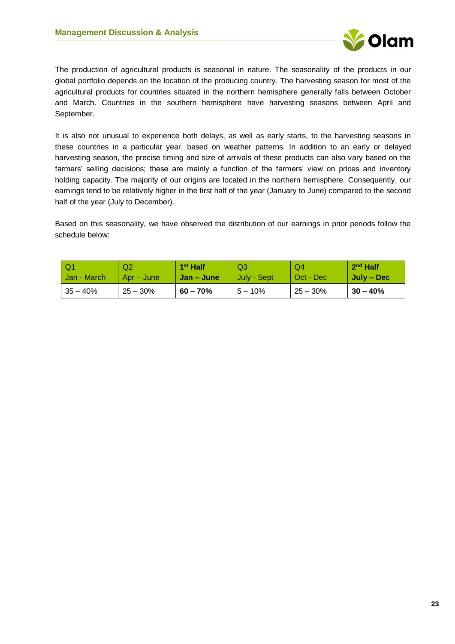

The production of agricultural products is seasonal in nature. The seasonality of the products in our global portfolio depends on the location of the producing country. The harvesting season for most of the agricultural products for countries situated in the northern hemisphere generally falls between October and March. Countries in the southern hemisphere have harvesting seasons between April and September.

It is also not unusual to experience both delays, as well as early starts, to the harvesting seasons in these countries in a particular year, based on weather patterns. In addition to an early or delayed harvesting season, the precise timing and size of arrivals of these products can also vary based on the farmers' selling decisions; these are mainly a function of the farmers' view on prices and inventory holding capacity. The majority of our origins are located in the northern hemisphere. Consequently, our earnings tend to be relatively higher in the first half of the year (January to June) compared to the second half of the year (July to December).

Based on this seasonality, we have observed the distribution of our earnings in prior periods follow the schedule below:

| l Q1        | Q <sub>2</sub> | 1 <sup>st</sup> Half | Q3          | Q4         | $2nd$ Half |
|-------------|----------------|----------------------|-------------|------------|------------|
| Jan - March | Apr – June     | Jan – June           | July - Sept | Oct - Dec  | July – Dec |
| $35 - 40%$  | $25 - 30%$     | $60 - 70%$           | $5 - 10\%$  | $25 - 30%$ | $30 - 40%$ |